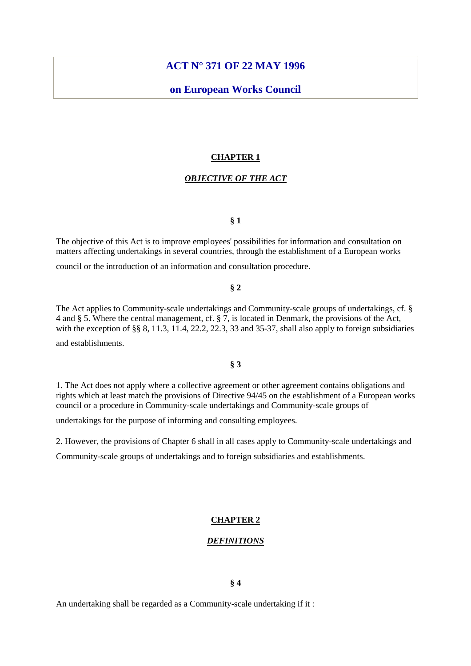# **ACT N° 371 OF 22 MAY 1996**

# **on European Works Council**

# **CHAPTER 1**

### *OBJECTIVE OF THE ACT*

# **§ 1**

The objective of this Act is to improve employees' possibilities for information and consultation on matters affecting undertakings in several countries, through the establishment of a European works

council or the introduction of an information and consultation procedure.

## **§ 2**

The Act applies to Community-scale undertakings and Community-scale groups of undertakings, cf. § 4 and § 5. Where the central management, cf. § 7, is located in Denmark, the provisions of the Act, with the exception of §§ 8, 11.3, 11.4, 22.2, 22.3, 33 and 35-37, shall also apply to foreign subsidiaries and establishments.

# **§ 3**

1. The Act does not apply where a collective agreement or other agreement contains obligations and rights which at least match the provisions of Directive 94/45 on the establishment of a European works council or a procedure in Community-scale undertakings and Community-scale groups of

undertakings for the purpose of informing and consulting employees.

2. However, the provisions of Chapter 6 shall in all cases apply to Community-scale undertakings and

Community-scale groups of undertakings and to foreign subsidiaries and establishments.

### **CHAPTER 2**

### *DEFINITIONS*

# **§ 4**

An undertaking shall be regarded as a Community-scale undertaking if it :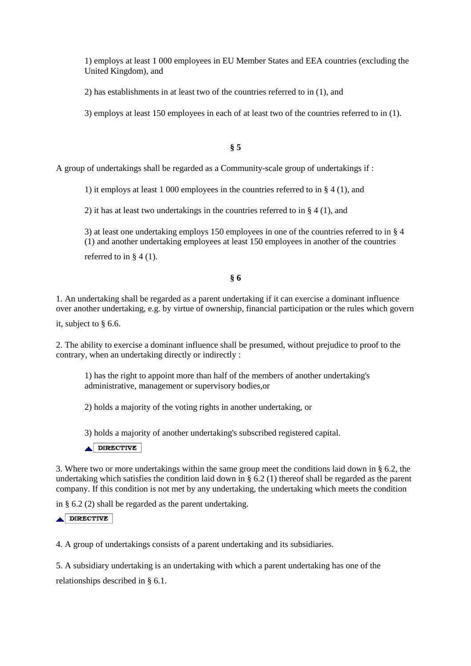1) employs at least 1 000 employees in EU Member States and EEA countries (excluding the United Kingdom), and

2) has establishments in at least two of the countries referred to in (1), and

3) employs at least 150 employees in each of at least two of the countries referred to in (1).

# **§ 5**

A group of undertakings shall be regarded as a Community-scale group of undertakings if :

1) it employs at least 1 000 employees in the countries referred to in § 4 (1), and

2) it has at least two undertakings in the countries referred to in § 4 (1), and

3) at least one undertaking employs 150 employees in one of the countries referred to in § 4 (1) and another undertaking employees at least 150 employees in another of the countries referred to in  $\S 4(1)$ .

# **§ 6**

1. An undertaking shall be regarded as a parent undertaking if it can exercise a dominant influence over another undertaking, e.g. by virtue of ownership, financial participation or the rules which govern

it, subject to § 6.6.

2. The ability to exercise a dominant influence shall be presumed, without prejudice to proof to the contrary, when an undertaking directly or indirectly :

1) has the right to appoint more than half of the members of another undertaking's administrative, management or supervisory bodies,or

2) holds a majority of the voting rights in another undertaking, or

3) holds a majority of another undertaking's subscribed registered capital.

DIRECTIVE

3. Where two or more undertakings within the same group meet the conditions laid down in § 6.2, the undertaking which satisfies the condition laid down in  $\S$  6.2 (1) thereof shall be regarded as the parent company. If this condition is not met by any undertaking, the undertaking which meets the condition

in § 6.2 (2) shall be regarded as the parent undertaking.

## DIRECTIVE

4. A group of undertakings consists of a parent undertaking and its subsidiaries.

5. A subsidiary undertaking is an undertaking with which a parent undertaking has one of the relationships described in § 6.1.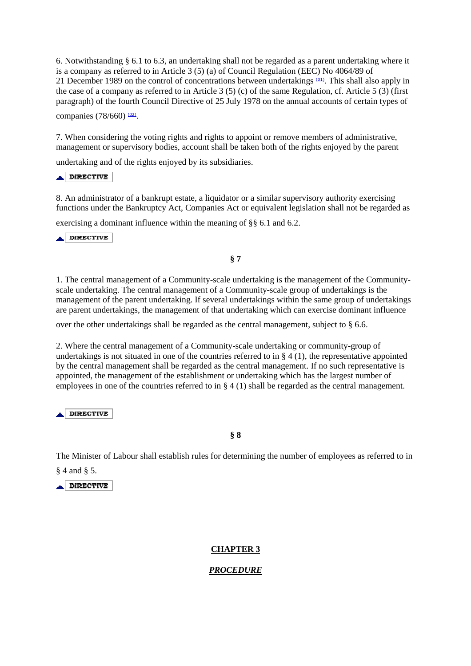6. Notwithstanding § 6.1 to 6.3, an undertaking shall not be regarded as a parent undertaking where it is a company as referred to in Article 3 (5) (a) of Council Regulation (EEC) No 4064/89 of 21 December 1989 on the control of concentrations between undertakings (01). This shall also apply in the case of a company as referred to in Article 3 (5) (c) of the same Regulation, cf. Article 5 (3) (first paragraph) of the fourth Council Directive of 25 July 1978 on the annual accounts of certain types of

companies (78/660) (02).

7. When considering the voting rights and rights to appoint or remove members of administrative, management or supervisory bodies, account shall be taken both of the rights enjoyed by the parent

undertaking and of the rights enjoyed by its subsidiaries.

DIRECTIVE

8. An administrator of a bankrupt estate, a liquidator or a similar supervisory authority exercising functions under the Bankruptcy Act, Companies Act or equivalent legislation shall not be regarded as

exercising a dominant influence within the meaning of §§ 6.1 and 6.2.

DIRECTIVE

# **§ 7**

1. The central management of a Community-scale undertaking is the management of the Communityscale undertaking. The central management of a Community-scale group of undertakings is the management of the parent undertaking. If several undertakings within the same group of undertakings are parent undertakings, the management of that undertaking which can exercise dominant influence

over the other undertakings shall be regarded as the central management, subject to § 6.6.

2. Where the central management of a Community-scale undertaking or community-group of undertakings is not situated in one of the countries referred to in  $\S 4 (1)$ , the representative appointed by the central management shall be regarded as the central management. If no such representative is appointed, the management of the establishment or undertaking which has the largest number of employees in one of the countries referred to in § 4 (1) shall be regarded as the central management.

 $\triangle$ DIRECTIVE

# **§ 8**

The Minister of Labour shall establish rules for determining the number of employees as referred to in § 4 and § 5.

**DIRECTIVE** 

# **CHAPTER 3**

# *PROCEDURE*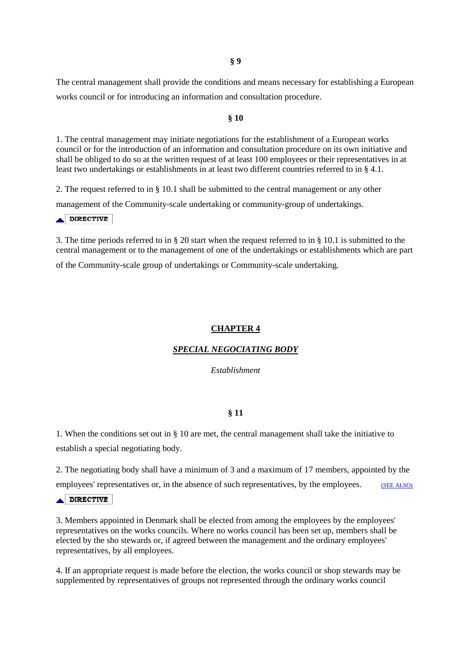The central management shall provide the conditions and means necessary for establishing a European works council or for introducing an information and consultation procedure.

## **§ 10**

1. The central management may initiate negotiations for the establishment of a European works council or for the introduction of an information and consultation procedure on its own initiative and shall be obliged to do so at the written request of at least 100 employees or their representatives in at least two undertakings or establishments in at least two different countries referred to in § 4.1.

2. The request referred to in § 10.1 shall be submitted to the central management or any other management of the Community-scale undertaking or community-group of undertakings.

DIRECTIVE

3. The time periods referred to in § 20 start when the request referred to in § 10.1 is submitted to the central management or to the management of one of the undertakings or establishments which are part of the Community-scale group of undertakings or Community-scale undertaking.

### **CHAPTER 4**

# *SPECIAL NEGOCIATING BODY*

*Establishment* 

### **§ 11**

1. When the conditions set out in § 10 are met, the central management shall take the initiative to establish a special negotiating body.

2. The negotiating body shall have a minimum of 3 and a maximum of 17 members, appointed by the

employees' representatives or, in the absence of such representatives, by the employees. (SEE ALSO)

# DIRECTIVE

3. Members appointed in Denmark shall be elected from among the employees by the employees' representatives on the works councils. Where no works council has been set up, members shall be elected by the sho stewards or, if agreed between the management and the ordinary employees' representatives, by all employees.

4. If an appropriate request is made before the election, the works council or shop stewards may be supplemented by representatives of groups not represented through the ordinary works council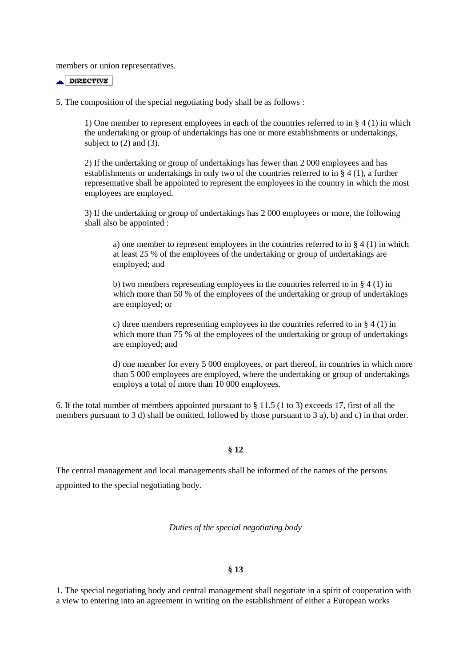members or union representatives.

DIRECTIVE

5. The composition of the special negotiating body shall be as follows :

1) One member to represent employees in each of the countries referred to in  $\S 4$  (1) in which the undertaking or group of undertakings has one or more establishments or undertakings, subject to  $(2)$  and  $(3)$ .

2) If the undertaking or group of undertakings has fewer than 2 000 employees and has establishments or undertakings in only two of the countries referred to in § 4 (1), a further representative shall be appointed to represent the employees in the country in which the most employees are employed.

3) If the undertaking or group of undertakings has 2 000 employees or more, the following shall also be appointed :

a) one member to represent employees in the countries referred to in  $\S 4 (1)$  in which at least 25 % of the employees of the undertaking or group of undertakings are employed; and

b) two members representing employees in the countries referred to in  $\S 4$  (1) in which more than 50 % of the employees of the undertaking or group of undertakings are employed; or

c) three members representing employees in the countries referred to in § 4 (1) in which more than 75 % of the employees of the undertaking or group of undertakings are employed; and

d) one member for every 5 000 employees, or part thereof, in countries in which more than 5 000 employees are employed, where the undertaking or group of undertakings employs a total of more than 10 000 employees.

6. If the total number of members appointed pursuant to § 11.5 (1 to 3) exceeds 17, first of all the members pursuant to 3 d) shall be omitted, followed by those pursuant to 3 a), b) and c) in that order.

### **§ 12**

The central management and local managements shall be informed of the names of the persons appointed to the special negotiating body.

*Duties of the special negotiating body* 

### **§ 13**

1. The special negotiating body and central management shall negotiate in a spirit of cooperation with a view to entering into an agreement in writing on the establishment of either a European works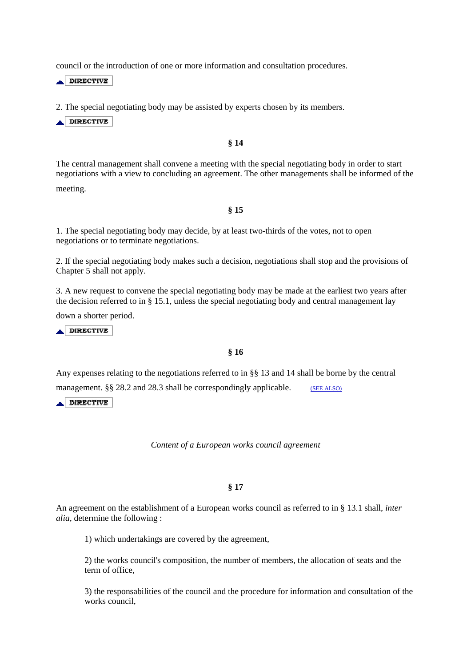council or the introduction of one or more information and consultation procedures.

 $\triangle$  DIRECTIVE

2. The special negotiating body may be assisted by experts chosen by its members.

DIRECTIVE

### **§ 14**

The central management shall convene a meeting with the special negotiating body in order to start negotiations with a view to concluding an agreement. The other managements shall be informed of the meeting.

**§ 15** 

1. The special negotiating body may decide, by at least two-thirds of the votes, not to open negotiations or to terminate negotiations.

2. If the special negotiating body makes such a decision, negotiations shall stop and the provisions of Chapter 5 shall not apply.

3. A new request to convene the special negotiating body may be made at the earliest two years after the decision referred to in § 15.1, unless the special negotiating body and central management lay

down a shorter period.

 $\triangle$  DIRECTIVE

# **§ 16**

Any expenses relating to the negotiations referred to in §§ 13 and 14 shall be borne by the central

management.  $\S$ § 28.2 and 28.3 shall be correspondingly applicable. (SEE ALSO)

DIRECTIVE

*Content of a European works council agreement* 

### **§ 17**

An agreement on the establishment of a European works council as referred to in § 13.1 shall, *inter alia,* determine the following :

1) which undertakings are covered by the agreement,

2) the works council's composition, the number of members, the allocation of seats and the term of office,

3) the responsabilities of the council and the procedure for information and consultation of the works council,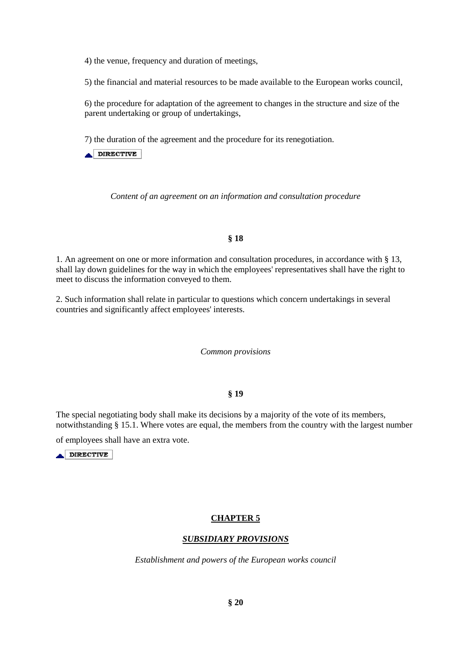4) the venue, frequency and duration of meetings,

5) the financial and material resources to be made available to the European works council,

6) the procedure for adaptation of the agreement to changes in the structure and size of the parent undertaking or group of undertakings,

7) the duration of the agreement and the procedure for its renegotiation.

 $\triangle$  DIRECTIVE

*Content of an agreement on an information and consultation procedure* 

# **§ 18**

1. An agreement on one or more information and consultation procedures, in accordance with § 13, shall lay down guidelines for the way in which the employees' representatives shall have the right to meet to discuss the information conveyed to them.

2. Such information shall relate in particular to questions which concern undertakings in several countries and significantly affect employees' interests.

### *Common provisions*

# **§ 19**

The special negotiating body shall make its decisions by a majority of the vote of its members, notwithstanding § 15.1. Where votes are equal, the members from the country with the largest number

of employees shall have an extra vote.

 $\triangle$  DIRECTIVE

# **CHAPTER 5**

# *SUBSIDIARY PROVISIONS*

*Establishment and powers of the European works council*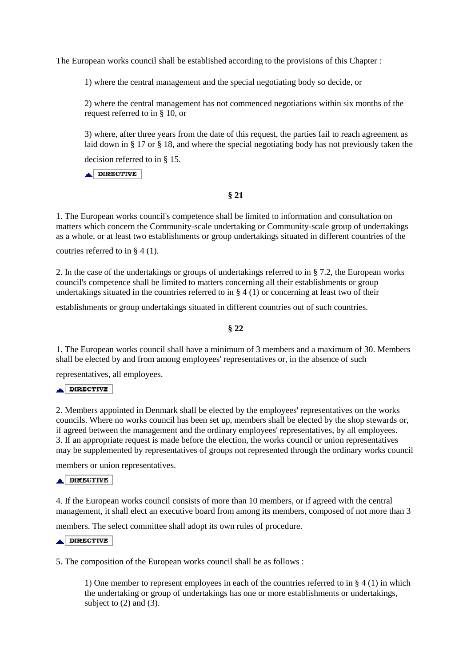The European works council shall be established according to the provisions of this Chapter :

1) where the central management and the special negotiating body so decide, or

2) where the central management has not commenced negotiations within six months of the request referred to in § 10, or

3) where, after three years from the date of this request, the parties fail to reach agreement as laid down in § 17 or § 18, and where the special negotiating body has not previously taken the

decision referred to in § 15.

 $\triangle$ DIRECTIVE

# **§ 21**

1. The European works council's competence shall be limited to information and consultation on matters which concern the Community-scale undertaking or Community-scale group of undertakings as a whole, or at least two establishments or group undertakings situated in different countries of the

coutries referred to in § 4 (1).

2. In the case of the undertakings or groups of undertakings referred to in § 7.2, the European works council's competence shall be limited to matters concerning all their establishments or group undertakings situated in the countries referred to in  $\S 4$  (1) or concerning at least two of their

establishments or group undertakings situated in different countries out of such countries.

**§ 22** 

1. The European works council shall have a minimum of 3 members and a maximum of 30. Members shall be elected by and from among employees' representatives or, in the absence of such

representatives, all employees.

### $\triangle$  DIRECTIVE

2. Members appointed in Denmark shall be elected by the employees' representatives on the works councils. Where no works council has been set up, members shall be elected by the shop stewards or, if agreed between the management and the ordinary employees' representatives, by all employees. 3. If an appropriate request is made before the election, the works council or union representatives may be supplemented by representatives of groups not represented through the ordinary works council

members or union representatives.

### DIRECTIVE

4. If the European works council consists of more than 10 members, or if agreed with the central management, it shall elect an executive board from among its members, composed of not more than 3

members. The select committee shall adopt its own rules of procedure.

# DIRECTIVE

5. The composition of the European works council shall be as follows :

1) One member to represent employees in each of the countries referred to in § 4 (1) in which the undertaking or group of undertakings has one or more establishments or undertakings, subject to  $(2)$  and  $(3)$ .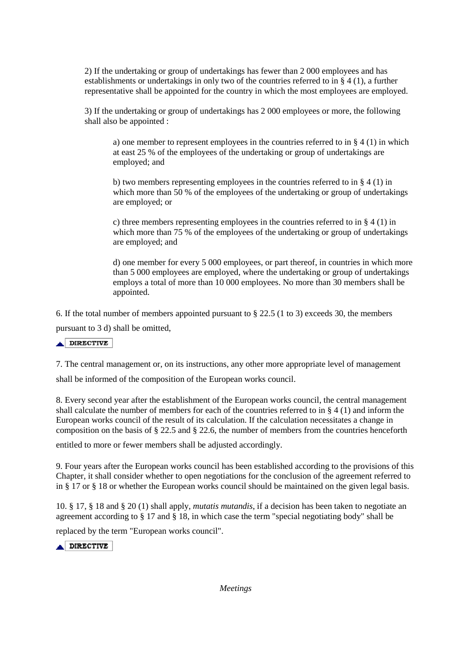2) If the undertaking or group of undertakings has fewer than 2 000 employees and has establishments or undertakings in only two of the countries referred to in § 4 (1), a further representative shall be appointed for the country in which the most employees are employed.

3) If the undertaking or group of undertakings has 2 000 employees or more, the following shall also be appointed :

a) one member to represent employees in the countries referred to in  $\S 4 (1)$  in which at east 25 % of the employees of the undertaking or group of undertakings are employed; and

b) two members representing employees in the countries referred to in  $\S 4$  (1) in which more than 50 % of the employees of the undertaking or group of undertakings are employed; or

c) three members representing employees in the countries referred to in § 4 (1) in which more than  $75\%$  of the employees of the undertaking or group of undertakings are employed; and

d) one member for every 5 000 employees, or part thereof, in countries in which more than 5 000 employees are employed, where the undertaking or group of undertakings employs a total of more than 10 000 employees. No more than 30 members shall be appointed.

6. If the total number of members appointed pursuant to  $\S 22.5$  (1 to 3) exceeds 30, the members pursuant to 3 d) shall be omitted,

 $\triangle$ DIRECTIVE

7. The central management or, on its instructions, any other more appropriate level of management

shall be informed of the composition of the European works council.

8. Every second year after the establishment of the European works council, the central management shall calculate the number of members for each of the countries referred to in § 4 (1) and inform the European works council of the result of its calculation. If the calculation necessitates a change in composition on the basis of § 22.5 and § 22.6, the number of members from the countries henceforth

entitled to more or fewer members shall be adjusted accordingly.

9. Four years after the European works council has been established according to the provisions of this Chapter, it shall consider whether to open negotiations for the conclusion of the agreement referred to in § 17 or § 18 or whether the European works council should be maintained on the given legal basis.

10. § 17, § 18 and § 20 (1) shall apply, *mutatis mutandis*, if a decision has been taken to negotiate an agreement according to § 17 and § 18, in which case the term "special negotiating body" shall be

replaced by the term "European works council".

**A DIRECTIVE** 

*Meetings*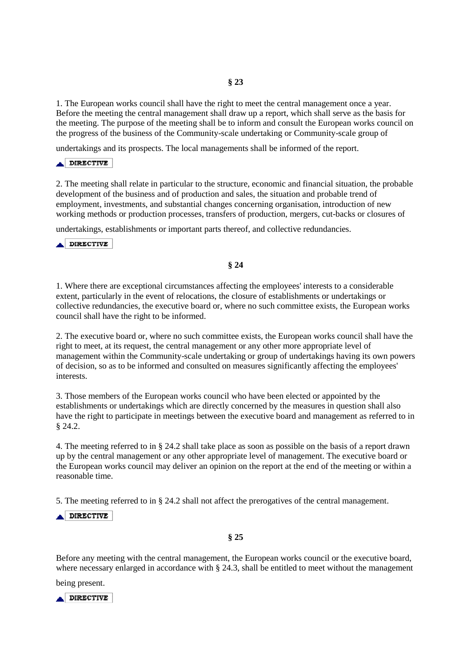## **§ 23**

1. The European works council shall have the right to meet the central management once a year. Before the meeting the central management shall draw up a report, which shall serve as the basis for the meeting. The purpose of the meeting shall be to inform and consult the European works council on the progress of the business of the Community-scale undertaking or Community-scale group of

undertakings and its prospects. The local managements shall be informed of the report.

#### **DIRECTIVE** آجم

2. The meeting shall relate in particular to the structure, economic and financial situation, the probable development of the business and of production and sales, the situation and probable trend of employment, investments, and substantial changes concerning organisation, introduction of new working methods or production processes, transfers of production, mergers, cut-backs or closures of

undertakings, establishments or important parts thereof, and collective redundancies.

**DIRECTIVE** 

# **§ 24**

1. Where there are exceptional circumstances affecting the employees' interests to a considerable extent, particularly in the event of relocations, the closure of establishments or undertakings or collective redundancies, the executive board or, where no such committee exists, the European works council shall have the right to be informed.

2. The executive board or, where no such committee exists, the European works council shall have the right to meet, at its request, the central management or any other more appropriate level of management within the Community-scale undertaking or group of undertakings having its own powers of decision, so as to be informed and consulted on measures significantly affecting the employees' interests.

3. Those members of the European works council who have been elected or appointed by the establishments or undertakings which are directly concerned by the measures in question shall also have the right to participate in meetings between the executive board and management as referred to in § 24.2.

4. The meeting referred to in § 24.2 shall take place as soon as possible on the basis of a report drawn up by the central management or any other appropriate level of management. The executive board or the European works council may deliver an opinion on the report at the end of the meeting or within a reasonable time.

5. The meeting referred to in § 24.2 shall not affect the prerogatives of the central management.

DIRECTIVE

### **§ 25**

Before any meeting with the central management, the European works council or the executive board, where necessary enlarged in accordance with § 24.3, shall be entitled to meet without the management

being present.

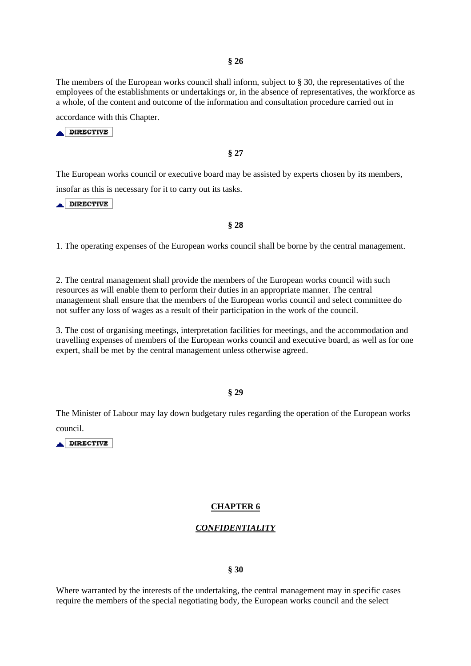The members of the European works council shall inform, subject to § 30, the representatives of the employees of the establishments or undertakings or, in the absence of representatives, the workforce as a whole, of the content and outcome of the information and consultation procedure carried out in

accordance with this Chapter.

**ADIRECTIVE** 

**§ 27** 

The European works council or executive board may be assisted by experts chosen by its members, insofar as this is necessary for it to carry out its tasks.

DIRECTIVE

**§ 28** 

1. The operating expenses of the European works council shall be borne by the central management.

2. The central management shall provide the members of the European works council with such resources as will enable them to perform their duties in an appropriate manner. The central management shall ensure that the members of the European works council and select committee do not suffer any loss of wages as a result of their participation in the work of the council.

3. The cost of organising meetings, interpretation facilities for meetings, and the accommodation and travelling expenses of members of the European works council and executive board, as well as for one expert, shall be met by the central management unless otherwise agreed.

### **§ 29**

The Minister of Labour may lay down budgetary rules regarding the operation of the European works council.

**DIRECTIVE** 

### **CHAPTER 6**

# *CONFIDENTIALITY*

#### **§ 30**

Where warranted by the interests of the undertaking, the central management may in specific cases require the members of the special negotiating body, the European works council and the select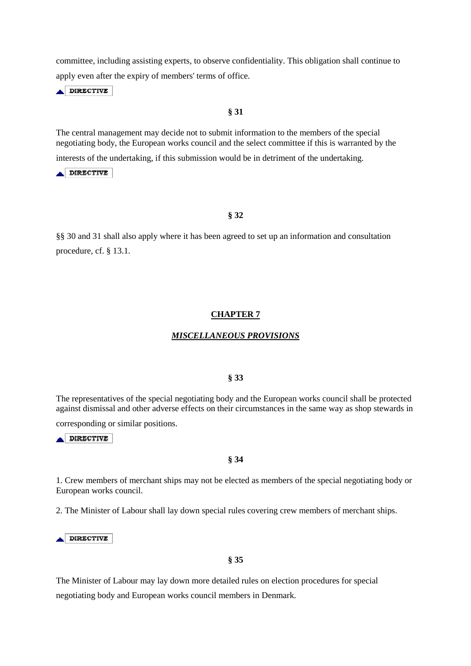committee, including assisting experts, to observe confidentiality. This obligation shall continue to apply even after the expiry of members' terms of office.

DIRECTIVE

# **§ 31**

The central management may decide not to submit information to the members of the special negotiating body, the European works council and the select committee if this is warranted by the interests of the undertaking, if this submission would be in detriment of the undertaking.

 $\blacktriangle$  DIRECTIVE

## **§ 32**

§§ 30 and 31 shall also apply where it has been agreed to set up an information and consultation procedure, cf. § 13.1.

### **CHAPTER 7**

#### *MISCELLANEOUS PROVISIONS*

# **§ 33**

The representatives of the special negotiating body and the European works council shall be protected against dismissal and other adverse effects on their circumstances in the same way as shop stewards in

corresponding or similar positions.

DIRECTIVE

### **§ 34**

1. Crew members of merchant ships may not be elected as members of the special negotiating body or European works council.

2. The Minister of Labour shall lay down special rules covering crew members of merchant ships.

 $\triangle$  DIRECTIVE

### **§ 35**

The Minister of Labour may lay down more detailed rules on election procedures for special negotiating body and European works council members in Denmark.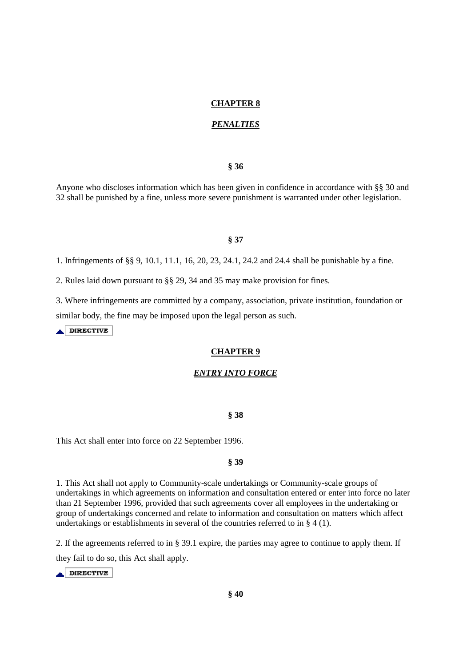### **CHAPTER 8**

### *PENALTIES*

### **§ 36**

Anyone who discloses information which has been given in confidence in accordance with §§ 30 and 32 shall be punished by a fine, unless more severe punishment is warranted under other legislation.

# **§ 37**

1. Infringements of §§ 9, 10.1, 11.1, 16, 20, 23, 24.1, 24.2 and 24.4 shall be punishable by a fine.

2. Rules laid down pursuant to §§ 29, 34 and 35 may make provision for fines.

3. Where infringements are committed by a company, association, private institution, foundation or similar body, the fine may be imposed upon the legal person as such.

DIRECTIVE

# **CHAPTER 9**

### *ENTRY INTO FORCE*

#### **§ 38**

This Act shall enter into force on 22 September 1996.

### **§ 39**

1. This Act shall not apply to Community-scale undertakings or Community-scale groups of undertakings in which agreements on information and consultation entered or enter into force no later than 21 September 1996, provided that such agreements cover all employees in the undertaking or group of undertakings concerned and relate to information and consultation on matters which affect undertakings or establishments in several of the countries referred to in § 4 (1).

2. If the agreements referred to in § 39.1 expire, the parties may agree to continue to apply them. If they fail to do so, this Act shall apply.

 $\blacktriangle$  DIRECTIVE